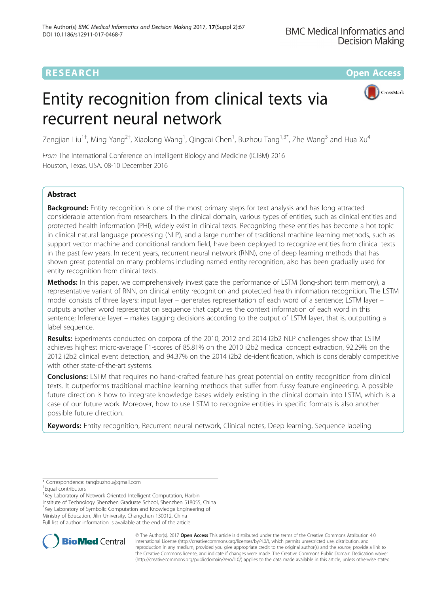# **RESEARCH CHE Open Access**

CrossMark

# Entity recognition from clinical texts via recurrent neural network

Zengjian Liu<sup>1†</sup>, Ming Yang<sup>2†</sup>, Xiaolong Wang<sup>1</sup>, Qingcai Chen<sup>1</sup>, Buzhou Tang<sup>1,3\*</sup>, Zhe Wang<sup>3</sup> and Hua Xu<sup>4</sup>

From The International Conference on Intelligent Biology and Medicine (ICIBM) 2016 Houston, Texas, USA. 08-10 December 2016

# Abstract

Background: Entity recognition is one of the most primary steps for text analysis and has long attracted considerable attention from researchers. In the clinical domain, various types of entities, such as clinical entities and protected health information (PHI), widely exist in clinical texts. Recognizing these entities has become a hot topic in clinical natural language processing (NLP), and a large number of traditional machine learning methods, such as support vector machine and conditional random field, have been deployed to recognize entities from clinical texts in the past few years. In recent years, recurrent neural network (RNN), one of deep learning methods that has shown great potential on many problems including named entity recognition, also has been gradually used for entity recognition from clinical texts.

Methods: In this paper, we comprehensively investigate the performance of LSTM (long-short term memory), a representative variant of RNN, on clinical entity recognition and protected health information recognition. The LSTM model consists of three layers: input layer – generates representation of each word of a sentence; LSTM layer – outputs another word representation sequence that captures the context information of each word in this sentence; Inference layer – makes tagging decisions according to the output of LSTM layer, that is, outputting a label sequence.

Results: Experiments conducted on corpora of the 2010, 2012 and 2014 i2b2 NLP challenges show that LSTM achieves highest micro-average F1-scores of 85.81% on the 2010 i2b2 medical concept extraction, 92.29% on the 2012 i2b2 clinical event detection, and 94.37% on the 2014 i2b2 de-identification, which is considerably competitive with other state-of-the-art systems.

**Conclusions:** LSTM that requires no hand-crafted feature has great potential on entity recognition from clinical texts. It outperforms traditional machine learning methods that suffer from fussy feature engineering. A possible future direction is how to integrate knowledge bases widely existing in the clinical domain into LSTM, which is a case of our future work. Moreover, how to use LSTM to recognize entities in specific formats is also another possible future direction.

Keywords: Entity recognition, Recurrent neural network, Clinical notes, Deep learning, Sequence labeling

<sup>1</sup> Key Laboratory of Network Oriented Intelligent Computation, Harbin Institute of Technology Shenzhen Graduate School, Shenzhen 518055, China <sup>3</sup>Key Laboratory of Symbolic Computation and Knowledge Engineering of Ministry of Education, Jilin University, Changchun 130012, China Full list of author information is available at the end of the article



© The Author(s). 2017 **Open Access** This article is distributed under the terms of the Creative Commons Attribution 4.0 International License [\(http://creativecommons.org/licenses/by/4.0/](http://creativecommons.org/licenses/by/4.0/)), which permits unrestricted use, distribution, and reproduction in any medium, provided you give appropriate credit to the original author(s) and the source, provide a link to the Creative Commons license, and indicate if changes were made. The Creative Commons Public Domain Dedication waiver [\(http://creativecommons.org/publicdomain/zero/1.0/](http://creativecommons.org/publicdomain/zero/1.0/)) applies to the data made available in this article, unless otherwise stated.

<sup>\*</sup> Correspondence: [tangbuzhou@gmail.com](mailto:tangbuzhou@gmail.com) †

Equal contributors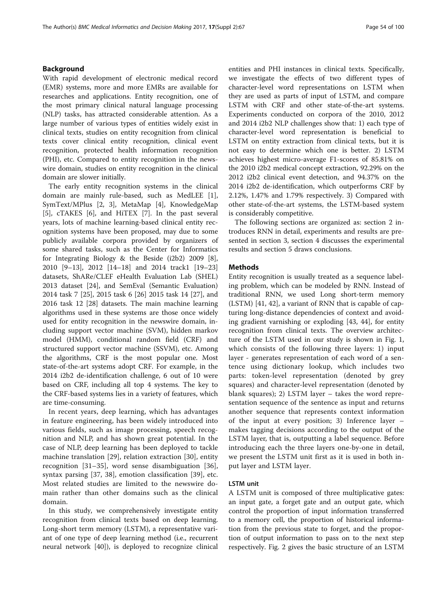## Background

With rapid development of electronic medical record (EMR) systems, more and more EMRs are available for researches and applications. Entity recognition, one of the most primary clinical natural language processing (NLP) tasks, has attracted considerable attention. As a large number of various types of entities widely exist in clinical texts, studies on entity recognition from clinical texts cover clinical entity recognition, clinical event recognition, protected health information recognition (PHI), etc. Compared to entity recognition in the newswire domain, studies on entity recognition in the clinical domain are slower initially.

The early entity recognition systems in the clinical domain are mainly rule-based, such as MedLEE [\[1](#page-7-0)], SymText/MPlus [\[2](#page-7-0), [3](#page-7-0)], MetaMap [\[4](#page-7-0)], KnowledgeMap [[5\]](#page-7-0), cTAKES [\[6](#page-7-0)], and HiTEX [\[7](#page-7-0)]. In the past several years, lots of machine learning-based clinical entity recognition systems have been proposed, may due to some publicly available corpora provided by organizers of some shared tasks, such as the Center for Informatics for Integrating Biology & the Beside (i2b2) 2009 [\[8](#page-7-0)], 2010 [\[9](#page-7-0)–[13](#page-7-0)], 2012 [\[14](#page-7-0)–[18\]](#page-7-0) and 2014 track1 [[19](#page-7-0)–[23](#page-7-0)] datasets, ShARe/CLEF eHealth Evaluation Lab (SHEL) 2013 dataset [[24](#page-7-0)], and SemEval (Semantic Evaluation) 2014 task 7 [\[25](#page-7-0)], 2015 task 6 [\[26](#page-7-0)] 2015 task 14 [\[27\]](#page-7-0), and 2016 task 12 [[28\]](#page-7-0) datasets. The main machine learning algorithms used in these systems are those once widely used for entity recognition in the newswire domain, including support vector machine (SVM), hidden markov model (HMM), conditional random field (CRF) and structured support vector machine (SSVM), etc. Among the algorithms, CRF is the most popular one. Most state-of-the-art systems adopt CRF. For example, in the 2014 i2b2 de-identification challenge, 6 out of 10 were based on CRF, including all top 4 systems. The key to the CRF-based systems lies in a variety of features, which are time-consuming.

In recent years, deep learning, which has advantages in feature engineering, has been widely introduced into various fields, such as image processing, speech recognition and NLP, and has shown great potential. In the case of NLP, deep learning has been deployed to tackle machine translation [\[29](#page-7-0)], relation extraction [\[30](#page-7-0)], entity recognition [[31](#page-7-0)–[35\]](#page-7-0), word sense disambiguation [\[36](#page-7-0)], syntax parsing [[37](#page-7-0), [38\]](#page-7-0), emotion classification [\[39](#page-7-0)], etc. Most related studies are limited to the newswire domain rather than other domains such as the clinical domain.

In this study, we comprehensively investigate entity recognition from clinical texts based on deep learning. Long-short term memory (LSTM), a representative variant of one type of deep learning method (i.e., recurrent neural network [[40\]](#page-7-0)), is deployed to recognize clinical entities and PHI instances in clinical texts. Specifically, we investigate the effects of two different types of character-level word representations on LSTM when they are used as parts of input of LSTM, and compare LSTM with CRF and other state-of-the-art systems. Experiments conducted on corpora of the 2010, 2012 and 2014 i2b2 NLP challenges show that: 1) each type of character-level word representation is beneficial to LSTM on entity extraction from clinical texts, but it is not easy to determine which one is better. 2) LSTM achieves highest micro-average F1-scores of 85.81% on the 2010 i2b2 medical concept extraction, 92.29% on the 2012 i2b2 clinical event detection, and 94.37% on the 2014 i2b2 de-identification, which outperforms CRF by 2.12%, 1.47% and 1.79% respectively. 3) Compared with other state-of-the-art systems, the LSTM-based system is considerably competitive.

The following sections are organized as: section 2 introduces RNN in detail, experiments and results are presented in section 3, section 4 discusses the experimental results and section 5 draws conclusions.

#### Methods

Entity recognition is usually treated as a sequence labeling problem, which can be modeled by RNN. Instead of traditional RNN, we used Long short-term memory (LSTM) [\[41](#page-7-0), [42\]](#page-7-0), a variant of RNN that is capable of capturing long-distance dependencies of context and avoiding gradient varnishing or exploding [[43,](#page-7-0) [44\]](#page-8-0), for entity recognition from clinical texts. The overview architecture of the LSTM used in our study is shown in Fig. [1](#page-2-0), which consists of the following three layers: 1) input layer - generates representation of each word of a sentence using dictionary lookup, which includes two parts: token-level representation (denoted by grey squares) and character-level representation (denoted by blank squares); 2) LSTM layer – takes the word representation sequence of the sentence as input and returns another sequence that represents context information of the input at every position; 3) Inference layer – makes tagging decisions according to the output of the LSTM layer, that is, outputting a label sequence. Before introducing each the three layers one-by-one in detail, we present the LSTM unit first as it is used in both input layer and LSTM layer.

#### LSTM unit

A LSTM unit is composed of three multiplicative gates: an input gate, a forget gate and an output gate, which control the proportion of input information transferred to a memory cell, the proportion of historical information from the previous state to forget, and the proportion of output information to pass on to the next step respectively. Fig. [2](#page-2-0) gives the basic structure of an LSTM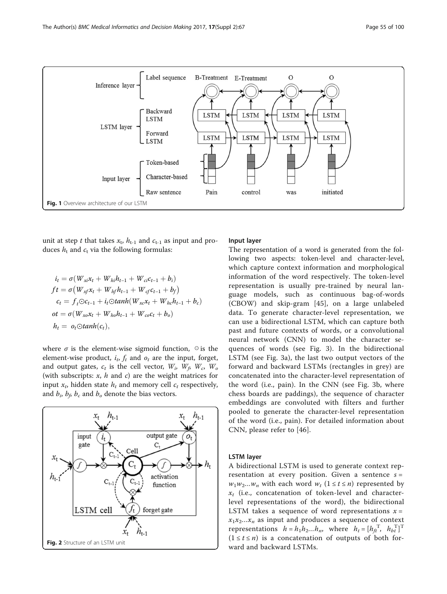<span id="page-2-0"></span>

unit at step t that takes  $x_t$ ,  $h_{t-1}$  and  $c_{t-1}$  as input and produces  $h_t$  and  $c_t$  via the following formulas:

$$
i_{t} = \sigma(W_{xi}x_{t} + W_{hi}h_{t-1} + W_{ci}c_{t-1} + b_{i})
$$
  
\n
$$
ft = \sigma(W_{xf}x_{t} + W_{hf}h_{t-1} + W_{cf}c_{t-1} + b_{f})
$$
  
\n
$$
c_{t} = f_{t}\odot c_{t-1} + i_{t}\odot tanh(W_{xc}x_{t} + W_{hc}h_{t-1} + b_{c})
$$
  
\n
$$
ot = \sigma(W_{xo}x_{t} + W_{ho}h_{t-1} + W_{co}c_{t} + b_{o})
$$
  
\n
$$
h_{t} = o_{t}\odot tanh(c_{t}),
$$

where  $\sigma$  is the element-wise sigmoid function,  $\circ$  is the element-wise product,  $i_t$ ,  $f_t$  and  $o_t$  are the input, forget, and output gates,  $c_t$  is the cell vector,  $W_i$ ,  $W_f$ ,  $W_c$ ,  $W_o$ (with subscripts:  $x$ ,  $h$  and  $c$ ) are the weight matrices for input  $x_t$ , hidden state  $h_t$  and memory cell  $c_t$  respectively, and  $b_i$ ,  $b_f$ ,  $b_c$  and  $b_o$  denote the bias vectors.



## Input layer

The representation of a word is generated from the following two aspects: token-level and character-level, which capture context information and morphological information of the word respectively. The token-level representation is usually pre-trained by neural language models, such as continuous bag-of-words (CBOW) and skip-gram [[45\]](#page-8-0), on a large unlabeled data. To generate character-level representation, we can use a bidirectional LSTM, which can capture both past and future contexts of words, or a convolutional neural network (CNN) to model the character sequences of words (see Fig. [3](#page-3-0)). In the bidirectional LSTM (see Fig. [3a\)](#page-3-0), the last two output vectors of the forward and backward LSTMs (rectangles in grey) are concatenated into the character-level representation of the word (i.e., pain). In the CNN (see Fig. [3b,](#page-3-0) where chess boards are paddings), the sequence of character embeddings are convoluted with filters and further pooled to generate the character-level representation of the word (i.e., pain). For detailed information about CNN, please refer to [[46\]](#page-8-0).

## LSTM layer

A bidirectional LSTM is used to generate context representation at every position. Given a sentence  $s =$  $w_1w_2...w_n$  with each word  $w_t$  ( $1 \le t \le n$ ) represented by  $x_t$  (i.e., concatenation of token-level and characterlevel representations of the word), the bidirectional LSTM takes a sequence of word representations  $x =$  $x_1x_2...x_n$  as input and produces a sequence of context representations  $h = h_1 h_2 ... h_n$ , where  $h_t = [h_{ft}^T, h_{bt}^T]^T$  $(1 \le t \le n)$  is a concatenation of outputs of both forward and backward LSTMs.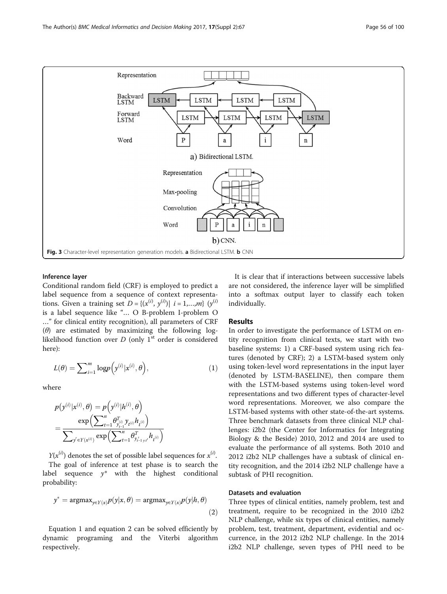<span id="page-3-0"></span>

#### Inference layer

Conditional random field (CRF) is employed to predict a label sequence from a sequence of context representations. Given a training set  $D = \{(x^{(i)}, y^{(i)}) | i = 1,...,m\}$   $(y^{(i)})$ is a label sequence like "… O B-problem I-problem O …" for clinical entity recognition), all parameters of CRF ( $\theta$ ) are estimated by maximizing the following loglikelihood function over  $D$  (only  $1<sup>st</sup>$  order is considered here):

$$
L(\theta) = \sum_{i=1}^{m} \log p(\mathbf{y}^{(i)}|\mathbf{x}^{(i)}, \theta), \tag{1}
$$

where

$$
p(y^{(i)}|x^{(i)}, \theta) = p(y^{(i)}|h^{(i)}, \theta)
$$
  
= 
$$
\frac{\exp\left(\sum_{t=1}^n \theta_{y_{t-1}}^T y_{t^{(i)}} h_{t^{(i)}}\right)}{\sum_{y' \in Y(x^{(i)})} \exp\left(\sum_{t=1}^n \theta_{y'_{t-1}y'_{t}}^T h_{t^{(i)}}\right)}
$$

 $Y(x^{(i)})$  denotes the set of possible label sequences for  $x^{(i)}$ . The goal of inference at test phase is to search the label sequence  $y^*$  with the highest conditional probability:

$$
y^* = \operatorname{argmax}_{y \in Y(x)} p(y|x, \theta) = \operatorname{argmax}_{y \in Y(x)} p(y|h, \theta)
$$
\n(2)

Equation 1 and equation 2 can be solved efficiently by dynamic programing and the Viterbi algorithm respectively.

It is clear that if interactions between successive labels are not considered, the inference layer will be simplified into a softmax output layer to classify each token individually.

## Results

In order to investigate the performance of LSTM on entity recognition from clinical texts, we start with two baseline systems: 1) a CRF-based system using rich features (denoted by CRF); 2) a LSTM-based system only using token-level word representations in the input layer (denoted by LSTM-BASELINE), then compare them with the LSTM-based systems using token-level word representations and two different types of character-level word representations. Moreover, we also compare the LSTM-based systems with other state-of-the-art systems. Three benchmark datasets from three clinical NLP challenges: i2b2 (the Center for Informatics for Integrating Biology & the Beside) 2010, 2012 and 2014 are used to evaluate the performance of all systems. Both 2010 and 2012 i2b2 NLP challenges have a subtask of clinical entity recognition, and the 2014 i2b2 NLP challenge have a subtask of PHI recognition.

## Datasets and evaluation

Three types of clinical entities, namely problem, test and treatment, require to be recognized in the 2010 i2b2 NLP challenge, while six types of clinical entities, namely problem, test, treatment, department, evidential and occurrence, in the 2012 i2b2 NLP challenge. In the 2014 i2b2 NLP challenge, seven types of PHI need to be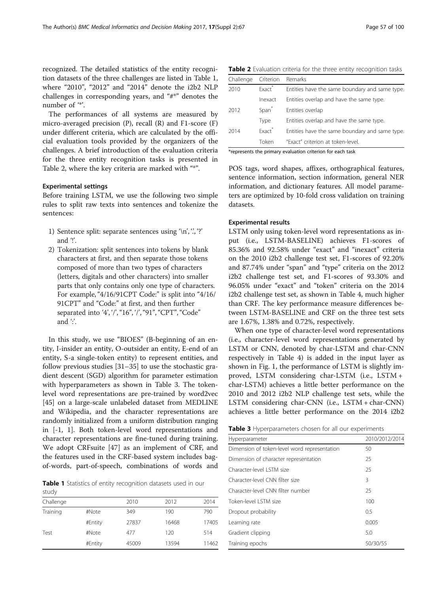recognized. The detailed statistics of the entity recognition datasets of the three challenges are listed in Table 1, where "2010", "2012" and "2014" denote the i2b2 NLP challenges in corresponding years, and "#\*" denotes the number of "\*'.

The performances of all systems are measured by micro-averaged precision (P), recall (R) and F1-score (F) under different criteria, which are calculated by the official evaluation tools provided by the organizers of the challenges. A brief introduction of the evaluation criteria for the three entity recognition tasks is presented in Table 2, where the key criteria are marked with "\*".

## Experimental settings

Before training LSTM, we use the following two simple rules to split raw texts into sentences and tokenize the sentences:

- 1) Sentence split: separate sentences using  $\langle n', \cdot, \cdot \rangle$ ?' and '!'.
- 2) Tokenization: split sentences into tokens by blank characters at first, and then separate those tokens composed of more than two types of characters (letters, digitals and other characters) into smaller parts that only contains only one type of characters. For example, "4/16/91CPT Code:" is split into "4/16/ 91CPT" and "Code:" at first, and then further separated into '4', '/', "16", '/', "91", "CPT", "Code" and  $\mathcal{C}$ .

In this study, we use "BIOES" (B-beginning of an entity, I-insider an entity, O-outsider an entity, E-end of an entity, S-a single-token entity) to represent entities, and follow previous studies [\[31](#page-7-0)–[35\]](#page-7-0) to use the stochastic gradient descent (SGD) algorithm for parameter estimation with hyperparameters as shown in Table 3. The tokenlevel word representations are pre-trained by word2vec [[45\]](#page-8-0) on a large-scale unlabeled dataset from MEDLINE and Wikipedia, and the character representations are randomly initialized from a uniform distribution ranging in [-1, 1]. Both token-level word representations and character representations are fine-tuned during training. We adopt CRFsuite [\[47](#page-8-0)] as an implement of CRF, and the features used in the CRF-based system includes bagof-words, part-of-speech, combinations of words and

Table 1 Statistics of entity recognition datasets used in our study

| -----     |         |       |       |       |
|-----------|---------|-------|-------|-------|
| Challenge |         | 2010  | 2012  | 2014  |
| Training  | #Note   | 349   | 190   | 790   |
|           | #Entity | 27837 | 16468 | 17405 |
| Test      | #Note   | 477   | 120   | 514   |
|           | #Entity | 45009 | 13594 | 11462 |

Table 2 Evaluation criteria for the three entity recognition tasks

| Challenge | Criterion          | Remarks                                        |
|-----------|--------------------|------------------------------------------------|
| 2010      | Fxact <sup>*</sup> | Entities have the same boundary and same type. |
|           | Inexact            | Entities overlap and have the same type.       |
| 2012      | Span <sup>*</sup>  | Entities overlap                               |
|           | Type               | Entities overlap and have the same type.       |
| 2014      | Fxact <sup>*</sup> | Entities have the same boundary and same type. |
|           | Token              | "Exact" criterion at token-level.              |

\*represents the primary evaluation criterion for each task

POS tags, word shapes, affixes, orthographical features, sentence information, section information, general NER information, and dictionary features. All model parameters are optimized by 10-fold cross validation on training datasets.

## Experimental results

LSTM only using token-level word representations as input (i.e., LSTM-BASELINE) achieves F1-scores of 85.36% and 92.58% under "exact" and "inexact" criteria on the 2010 i2b2 challenge test set, F1-scores of 92.20% and 87.74% under "span" and "type" criteria on the 2012 i2b2 challenge test set, and F1-scores of 93.30% and 96.05% under "exact" and "token" criteria on the 2014 i2b2 challenge test set, as shown in Table [4](#page-5-0), much higher than CRF. The key performance measure differences between LSTM-BASELINE and CRF on the three test sets are 1.67%, 1.38% and 0.72%, respectively.

When one type of character-level word representations (i.e., character-level word representations generated by LSTM or CNN, denoted by char-LSTM and char-CNN respectively in Table [4](#page-5-0)) is added in the input layer as shown in Fig. [1](#page-2-0), the performance of LSTM is slightly improved, LSTM considering char-LSTM (i.e., LSTM + char-LSTM) achieves a little better performance on the 2010 and 2012 i2b2 NLP challenge test sets, while the LSTM considering char-CNN (i.e., LSTM + char-CNN) achieves a little better performance on the 2014 i2b2

| Table 3 Hyperparameters chosen for all our experiments |  |  |  |
|--------------------------------------------------------|--|--|--|
|--------------------------------------------------------|--|--|--|

| Hyperparameter                               | 2010/2012/2014 |
|----------------------------------------------|----------------|
| Dimension of token-level word representation | 50             |
| Dimension of character representation        | 25             |
| Character-level I STM size                   | 25             |
| Character-level CNN filter size              | 3              |
| Character-level CNN filter number            | 25             |
| Token-level I STM size                       | 100            |
| Dropout probability                          | 0.5            |
| Learning rate                                | 0.005          |
| Gradient clipping                            | 5.0            |
| Training epochs                              | 50/30/55       |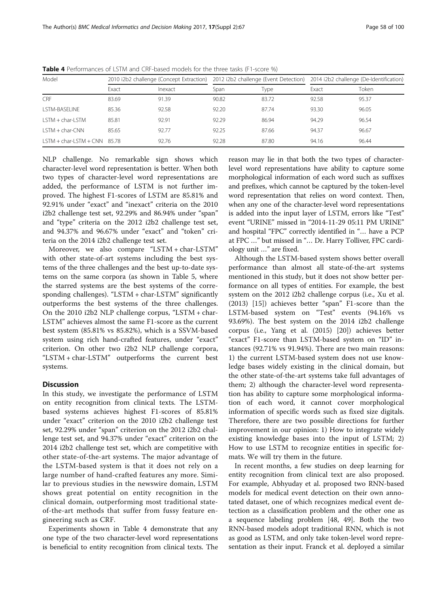| Model                          | 2010 i2b2 challenge (Concept Extraction) |                | 2012 i2b2 challenge (Event Detection) |       | 2014 i2b2 challenge (De-Identification) |       |
|--------------------------------|------------------------------------------|----------------|---------------------------------------|-------|-----------------------------------------|-------|
|                                | Exact                                    | <i>lnexact</i> | Span                                  | Type  | Exact                                   | Token |
| CRF                            | 83.69                                    | 91.39          | 90.82                                 | 83.72 | 92.58                                   | 95.37 |
| LSTM-BASELINE                  | 85.36                                    | 92.58          | 92.20                                 | 87.74 | 93.30                                   | 96.05 |
| $ISTM + char-I STM$            | 85.81                                    | 92.91          | 92.29                                 | 86.94 | 94.29                                   | 96.54 |
| $ISTM + char-CNN$              | 85.65                                    | 92.77          | 92.25                                 | 87.66 | 94.37                                   | 96.67 |
| $LSTM + char-LSTM + CNN$ 85.78 |                                          | 92.76          | 92.28                                 | 87.80 | 94.16                                   | 96.44 |

<span id="page-5-0"></span>Table 4 Performances of LSTM and CRF-based models for the three tasks (F1-score %)

NLP challenge. No remarkable sign shows which character-level word representation is better. When both two types of character-level word representations are added, the performance of LSTM is not further improved. The highest F1-scores of LSTM are 85.81% and 92.91% under "exact" and "inexact" criteria on the 2010 i2b2 challenge test set, 92.29% and 86.94% under "span" and "type" criteria on the 2012 i2b2 challenge test set, and 94.37% and 96.67% under "exact" and "token" criteria on the 2014 i2b2 challenge test set.

Moreover, we also compare "LSTM + char-LSTM" with other state-of-art systems including the best systems of the three challenges and the best up-to-date systems on the same corpora (as shown in Table [5,](#page-6-0) where the starred systems are the best systems of the corresponding challenges). "LSTM + char-LSTM" significantly outperforms the best systems of the three challenges. On the 2010 i2b2 NLP challenge corpus, "LSTM + char-LSTM" achieves almost the same F1-score as the current best system (85.81% vs 85.82%), which is a SSVM-based system using rich hand-crafted features, under "exact" criterion. On other two i2b2 NLP challenge corpora, "LSTM + char-LSTM" outperforms the current best systems.

## **Discussion**

In this study, we investigate the performance of LSTM on entity recognition from clinical texts. The LSTMbased systems achieves highest F1-scores of 85.81% under "exact" criterion on the 2010 i2b2 challenge test set, 92.29% under "span" criterion on the 2012 i2b2 challenge test set, and 94.37% under "exact" criterion on the 2014 i2b2 challenge test set, which are competitive with other state-of-the-art systems. The major advantage of the LSTM-based system is that it does not rely on a large number of hand-crafted features any more. Similar to previous studies in the newswire domain, LSTM shows great potential on entity recognition in the clinical domain, outperforming most traditional stateof-the-art methods that suffer from fussy feature engineering such as CRF.

Experiments shown in Table 4 demonstrate that any one type of the two character-level word representations is beneficial to entity recognition from clinical texts. The

reason may lie in that both the two types of characterlevel word representations have ability to capture some morphological information of each word such as suffixes and prefixes, which cannot be captured by the token-level word representation that relies on word context. Then, when any one of the character-level word representations is added into the input layer of LSTM, errors like "Test" event "URINE" missed in "2014-11-29 05:11 PM URINE" and hospital "FPC" correctly identified in "… have a PCP at FPC …" but missed in "… Dr. Harry Tolliver, FPC cardiology unit …" are fixed.

Although the LSTM-based system shows better overall performance than almost all state-of-the-art systems mentioned in this study, but it does not show better performance on all types of entities. For example, the best system on the 2012 i2b2 challenge corpus (i.e., Xu et al. (2013) [\[15](#page-7-0)]) achieves better "span" F1-score than the LSTM-based system on "Test" events (94.16% vs 93.69%). The best system on the 2014 i2b2 challenge corpus (i.e., Yang et al. (2015) [\[20\]](#page-7-0)) achieves better "exact" F1-score than LSTM-based system on "ID" instances (92.71% vs 91.94%). There are two main reasons: 1) the current LSTM-based system does not use knowledge bases widely existing in the clinical domain, but the other state-of-the-art systems take full advantages of them; 2) although the character-level word representation has ability to capture some morphological information of each word, it cannot cover morphological information of specific words such as fixed size digitals. Therefore, there are two possible directions for further improvement in our opinion: 1) How to integrate widely existing knowledge bases into the input of LSTM; 2) How to use LSTM to recognize entities in specific formats. We will try them in the future.

In recent months, a few studies on deep learning for entity recognition from clinical text are also proposed. For example, Abhyuday et al. proposed two RNN-based models for medical event detection on their own annotated dataset, one of which recognizes medical event detection as a classification problem and the other one as a sequence labeling problem [[48, 49\]](#page-8-0). Both the two RNN-based models adopt traditional RNN, which is not as good as LSTM, and only take token-level word representation as their input. Franck et al. deployed a similar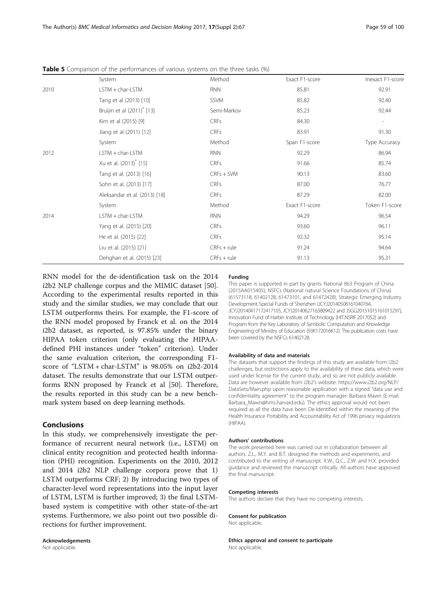<span id="page-6-0"></span>

|  |  |  | <b>Table 5</b> Comparison of the performances of various systems on the three tasks (%) |
|--|--|--|-----------------------------------------------------------------------------------------|
|  |  |  |                                                                                         |

|      | System                                 | Method        | Exact F1-score | Inexact F1-score |
|------|----------------------------------------|---------------|----------------|------------------|
| 2010 | LSTM + char-LSTM                       | <b>RNN</b>    | 85.81          | 92.91            |
|      | Tang et al (2013) [10]                 | SSVM          | 85.82          | 92.40            |
|      | Bruijin et al (2011) <sup>*</sup> [13] | Semi-Markov   | 85.23          | 92.44            |
|      | Kim et al (2015) [9]                   | <b>CRFs</b>   | 84.30          |                  |
|      | Jiang et al (2011) [12]                | <b>CRFs</b>   | 83.91          | 91.30            |
|      | System                                 | Method        | Span F1-score  | Type Accuracy    |
| 2012 | LSTM + char-LSTM                       | <b>RNN</b>    | 92.29          | 86.94            |
|      | Xu et al. (2013) <sup>*</sup> [15]     | <b>CRFs</b>   | 91.66          | 85.74            |
|      | Tang et al. (2013) [16]                | $CRFs + SVM$  | 90.13          | 83.60            |
|      | Sohn et al. (2013) [17]                | CRFs          | 87.00          | 76.77            |
|      | Aleksandar et al. (2013) [18]          | <b>CRFs</b>   | 87.29          | 82.00            |
|      | System                                 | Method        | Exact F1-score | Token F1-score   |
| 2014 | $LSTM + char-LSTM$                     | <b>RNN</b>    | 94.29          | 96.54            |
|      | Yang et al. (2015) [20]                | CRFs          | 93.60          | 96.11            |
|      | He et al. (2015) [22]                  | <b>CRFs</b>   | 92.32          | 95.14            |
|      | Liu et al. (2015) [21]                 | $CRFs + rule$ | 91.24          | 94.64            |
|      | Dehghan et al. (2015) [23]             | $CRFs + rule$ | 91.13          | 95.31            |

RNN model for the de-identification task on the 2014 i2b2 NLP challenge corpus and the MIMIC dataset [\[50](#page-8-0)]. According to the experimental results reported in this study and the similar studies, we may conclude that our LSTM outperforms theirs. For example, the F1-score of the RNN model proposed by Franck et al. on the 2014 i2b2 dataset, as reported, is 97.85% under the binary HIPAA token criterion (only evaluating the HIPAAdefined PHI instances under "token" criterion). Under the same evaluation criterion, the corresponding F1 score of "LSTM + char-LSTM" is 98.05% on i2b2-2014 dataset. The results demonstrate that our LSTM outperforms RNN proposed by Franck et al [\[50\]](#page-8-0). Therefore, the results reported in this study can be a new benchmark system based on deep learning methods.

## Conclusions

In this study, we comprehensively investigate the performance of recurrent neural network (i.e., LSTM) on clinical entity recognition and protected health information (PHI) recognition. Experiments on the 2010, 2012 and 2014 i2b2 NLP challenge corpora prove that 1) LSTM outperforms CRF; 2) By introducing two types of character-level word representations into the input layer of LSTM, LSTM is further improved; 3) the final LSTMbased system is competitive with other state-of-the-art systems. Furthermore, we also point out two possible directions for further improvement.

Acknowledgements Not applicable.

#### Funding

This paper is supported in part by grants: National 863 Program of China (2015AA015405), NSFCs (National natural Science Foundations of China) (61573118, 61402128, 61473101, and 61472428), Strategic Emerging Industry Development Special Funds of Shenzhen (JCYJ20140508161040764, JCYJ20140417172417105, JCYJ20140627163809422 and JSGG20151015161015297), Innovation Fund of Harbin Institute of Technology (HIT.NSRIF.2017052) and Program from the Key Laboratory of Symbolic Computation and Knowledge Engineering of Ministry of Education (93K172016K12). The publication costs have been covered by the NSFCs 61402128.

#### Availability of data and materials

The datasets that support the findings of this study are available from i2b2 challenges, but restrictions apply to the availability of these data, which were used under license for the current study, and so are not publicly available. Data are however available from i2b2's website: [https://www.i2b2.org/NLP/](https://www.i2b2.org/NLP/DataSets/Main.php) [DataSets/Main.php](https://www.i2b2.org/NLP/DataSets/Main.php) upon reasonable application with a signed "data use and confidentiality agreement" to the program manager: Barbara Mawn (E-mail: Barbara\_Mawn@hms.harvard.edu). The ethics approval would not been required as all the data have been De-Identified within the meaning of the Health Insurance Portability and Accountability Act of 1996 privacy regulations (HIPAA).

#### Authors' contributions

The work presented here was carried out in collaboration between all authors. Z.L., M.Y. and B.T. designed the methods and experiments, and contributed to the writing of manuscript. X.W., Q.C., Z.W. and H.X. provided guidance and reviewed the manuscript critically. All authors have approved the final manuscript.

#### Competing interests

The authors declare that they have no competing interests.

#### Consent for publication

Not applicable.

Ethics approval and consent to participate Not applicable.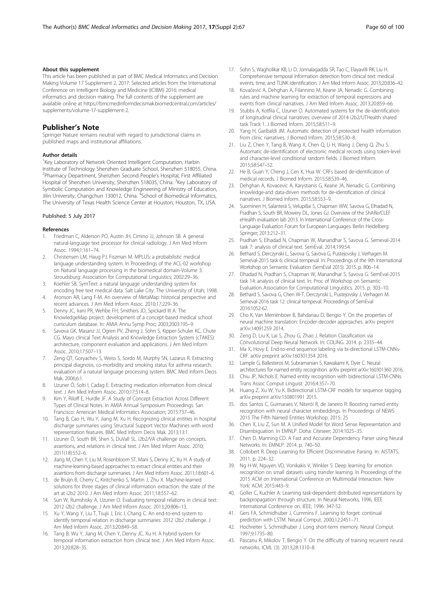#### <span id="page-7-0"></span>About this supplement

This article has been published as part of BMC Medical Informatics and Decision Making Volume 17 Supplement 2, 2017: Selected articles from the International Conference on Intelligent Biology and Medicine (ICIBM) 2016: medical informatics and decision making. The full contents of the supplement are available online at [https://bmcmedinformdecismak.biomedcentral.com/articles/](https://bmcmedinformdecismak.biomedcentral.com/articles/supplements/volume-17-supplement-2) [supplements/volume-17-supplement-2.](https://bmcmedinformdecismak.biomedcentral.com/articles/supplements/volume-17-supplement-2)

## Publisher's Note

Springer Nature remains neutral with regard to jurisdictional claims in published maps and institutional affiliations.

#### Author details

<sup>1</sup>Key Laboratory of Network Oriented Intelligent Computation, Harbin Institute of Technology Shenzhen Graduate School, Shenzhen 518055, China. <sup>2</sup>Pharmacy Department, Shenzhen Second People's Hospital, First Affiliated Hospital of Shenzhen University, Shenzhen 518035, China. <sup>3</sup>Key Laboratory of Symbolic Computation and Knowledge Engineering of Ministry of Education, Jilin University, Changchun 130012, China. <sup>4</sup>School of Biomedical Informatics, The University of Texas Health Science Center at Houston, Houston, TX, USA.

#### Published: 5 July 2017

#### References

- 1. Friedman C, Alderson PO, Austin JH, Cimino JJ, Johnson SB. A general natural-language text processor for clinical radiology. J Am Med Inform Assoc. 1994;1:161–74.
- 2. Christensen LM, Haug PJ, Fiszman M. MPLUS: a probabilistic medical language understanding system. In Proceedings of the ACL-02 workshop on Natural language processing in the biomedical domain-Volume 3. Stroudsburg: Association for Computational Linguistics; 2002:29–36.
- 3. Koehler SB. SymText: a natural language understanding system for encoding free text medical data. Salt Lake City: The University of Utah; 1998.
- 4. Aronson AR, Lang F-M. An overview of MetaMap: historical perspective and recent advances. J Am Med Inform Assoc. 2010;17:229–36.
- 5. Denny JC, Irani PR, Wehbe FH, Smithers JD, Spickard III A. The KnowledgeMap project: development of a concept-based medical school curriculum database. In: AMIA Annu Symp Proc; 2003;2003:195–9.
- 6. Savova GK, Masanz JJ, Ogren PV, Zheng J, Sohn S, Kipper-Schuler KC, Chute CG. Mayo clinical Text Analysis and Knowledge Extraction System (cTAKES): architecture, component evaluation and applications. J Am Med Inform Assoc. 2010;17:507–13.
- 7. Zeng QT, Goryachev S, Weiss S, Sordo M, Murphy SN, Lazarus R. Extracting principal diagnosis, co-morbidity and smoking status for asthma research: evaluation of a natural language processing system. BMC Med Inform Decis Mak. 2006;6:1.
- 8. Uzuner Ö, Solti I, Cadag E. Extracting medication information from clinical text. J Am Med Inform Assoc. 2010;17:514–8.
- Kim Y, Riloff E, Hurdle JF. A Study of Concept Extraction Across Different Types of Clinical Notes. In AMIA Annual Symposium Proceedings. San Francisco: American Medical Informatics Association; 2015:737–46.
- 10. Tang B, Cao H, Wu Y, Jiang M, Xu H. Recognizing clinical entities in hospital discharge summaries using Structural Support Vector Machines with word representation features. BMC Med Inform Decis Mak. 2013;13:1.
- 11. Uzuner Ö, South BR, Shen S, DuVall SL. i2b2/VA challenge on concepts, assertions, and relations in clinical text. J Am Med Inform Assoc. 2010; 2011(18):552–6.
- 12. Jiang M, Chen Y, Liu M, Rosenbloom ST, Mani S, Denny JC, Xu H. A study of machine-learning-based approaches to extract clinical entities and their assertions from discharge summaries. J Am Med Inform Assoc. 2011;18:601–6.
- 13. de Bruijn B, Cherry C, Kiritchenko S, Martin J, Zhu X. Machine-learned solutions for three stages of clinical information extraction: the state of the art at i2b2 2010. J Am Med Inform Assoc. 2011;18:557–62.
- 14. Sun W, Rumshisky A, Uzuner O. Evaluating temporal relations in clinical text: 2012 i2b2 challenge. J Am Med Inform Assoc. 2013;20:806–13.
- 15. Xu Y, Wang Y, Liu T, Tsujii J, Eric I, Chang C. An end-to-end system to identify temporal relation in discharge summaries: 2012 i2b2 challenge. J Am Med Inform Assoc. 2013;20:849–58.
- 16. Tang B, Wu Y, Jiang M, Chen Y, Denny JC, Xu H. A hybrid system for temporal information extraction from clinical text. J Am Med Inform Assoc. 2013;20:828–35.
- 17. Sohn S, Wagholikar KB, Li D, Jonnalagadda SR, Tao C, Elayavilli RK, Liu H. Comprehensive temporal information detection from clinical text: medical events, time, and TLINK identification. J Am Med Inform Assoc. 2013;20:836–42.
- 18. Kovačević A, Dehghan A, Filannino M, Keane JA, Nenadic G. Combining rules and machine learning for extraction of temporal expressions and events from clinical narratives. J Am Med Inform Assoc. 2013;20:859–66.
- 19. Stubbs A, Kotfila C, Uzuner O. Automated systems for the de-identification of longitudinal clinical narratives: overview of 2014 i2b2/UTHealth shared task Track 1. J Biomed Inform. 2015;58:S11–9.
- 20. Yang H, Garibaldi JM. Automatic detection of protected health information from clinic narratives. J Biomed Inform. 2015;58:S30–8.
- 21. Liu Z, Chen Y, Tang B, Wang X, Chen Q, Li H, Wang J, Deng Q, Zhu S. Automatic de-identification of electronic medical records using token-level and character-level conditional random fields. J Biomed Inform. 2015;58:S47–52.
- 22. He B, Guan Y, Cheng J, Cen K, Hua W. CRFs based de-identification of medical records. J Biomed Inform. 2015;58:S39–46.
- 23. Dehghan A, Kovacevic A, Karystianis G, Keane JA, Nenadic G. Combining knowledge-and data-driven methods for de-identification of clinical narratives. J Biomed Inform. 2015;58:S53–9.
- 24. Suominen H, Salanterä S, Velupillai S, Chapman WW, Savova G, Elhadad N, Pradhan S, South BR, Mowery DL, Jones GJ. Overview of the ShARe/CLEF eHealth evaluation lab 2013. In International Conference of the Cross-Language Evaluation Forum for European Languages. Berlin Heidelberg: Springer; 2013:212–31.
- 25. Pradhan S, Elhadad N, Chapman W, Manandhar S, Savova G. Semeval-2014 task 7: analysis of clinical text. SemEval. 2014;199:54.
- 26. Bethard S, Derczynski L, Savova G, Savova G, Pustejovsky J, Verhagen M. Semeval-2015 task 6: clinical tempeval. In: Proceedings of the 9th International Workshop on Semantic Evaluation (SemEval 2015). 2015. p. 806–14.
- 27. Elhadad N, Pradhan S, Chapman W, Manandhar S, Savova G. SemEval-2015 task 14: analysis of clinical text. In: Proc of Workshop on Semantic Evaluation Association for Computational Linguistics. 2015. p. 303–10.
- 28. Bethard S, Savova G, Chen W-T, Derczynski L, Pustejovsky J, Verhagen M. Semeval-2016 task 12: clinical tempeval. Proceedings of SemEval 2016:1052-62.
- 29. Cho K, Van Merriënboer B, Bahdanau D, Bengio Y. On the properties of neural machine translation: Encoder-decoder approaches. arXiv preprint arXiv:14091259 2014.
- 30. Zeng D, Liu K, Lai S, Zhou G, Zhao J. Relation Classification via Convolutional Deep Neural Network. In: COLING. 2014. p. 2335–44.
- 31. Ma X, Hovy E. End-to-end sequence labeling via bi-directional LSTM-CNNs-CRF. arXiv preprint arXiv:160301354 2016.
- 32. Lample G, Ballesteros M, Subramanian S, Kawakami K, Dyer C. Neural architectures for named entity recognition. arXiv preprint arXiv:160301360 2016.
- 33. Chiu JP, Nichols E. Named entity recognition with bidirectional LSTM-CNNs. Trans Assoc Comput Linguist. 2016;4:357–70.
- 34. Huang Z, Xu W, Yu K. Bidirectional LSTM-CRF models for sequence tagging. arXiv preprint arXiv:150801991 2015.
- 35. dos Santos C, Guimaraes V, Niterói R, de Janeiro R: Boosting named entity recognition with neural character embeddings. In Proceedings of NEWS 2015 The Fifth Named Entities Workshop. 2015: 25
- 36. Chen X, Liu Z, Sun M. A Unified Model for Word Sense Representation and Disambiguation. In EMNLP. Doha: Citeseer; 2014:1025–35.
- 37. Chen D, Manning CD. A Fast and Accurate Dependency Parser using Neural Networks. In: EMNLP. 2014. p. 740–50.
- 38. Collobert R. Deep Learning for Efficient Discriminative Parsing. In: AISTATS. 2011. p. 224–32.
- 39. Ng H-W, Nguyen VD, Vonikakis V, Winkler S: Deep learning for emotion recognition on small datasets using transfer learning. In Proceedings of the 2015 ACM on International Conference on Multimodal Interaction. New York: ACM; 2015:443–9.
- 40. Goller C, Kuchler A: Learning task-dependent distributed representations by backpropagation through structure. In Neural Networks, 1996, IEEE International Conference on. IEEE; 1996: 347-52.
- 41. Gers FA, Schmidhuber J, Cummins F. Learning to forget: continual prediction with LSTM. Neural Comput. 2000;12:2451–71.
- 42. Hochreiter S, Schmidhuber J. Long short-term memory. Neural Comput. 1997;9:1735–80.
- 43. Pascanu R, Mikolov T, Bengio Y. On the difficulty of training recurrent neural networks. ICML (3). 2013;28:1310–8.